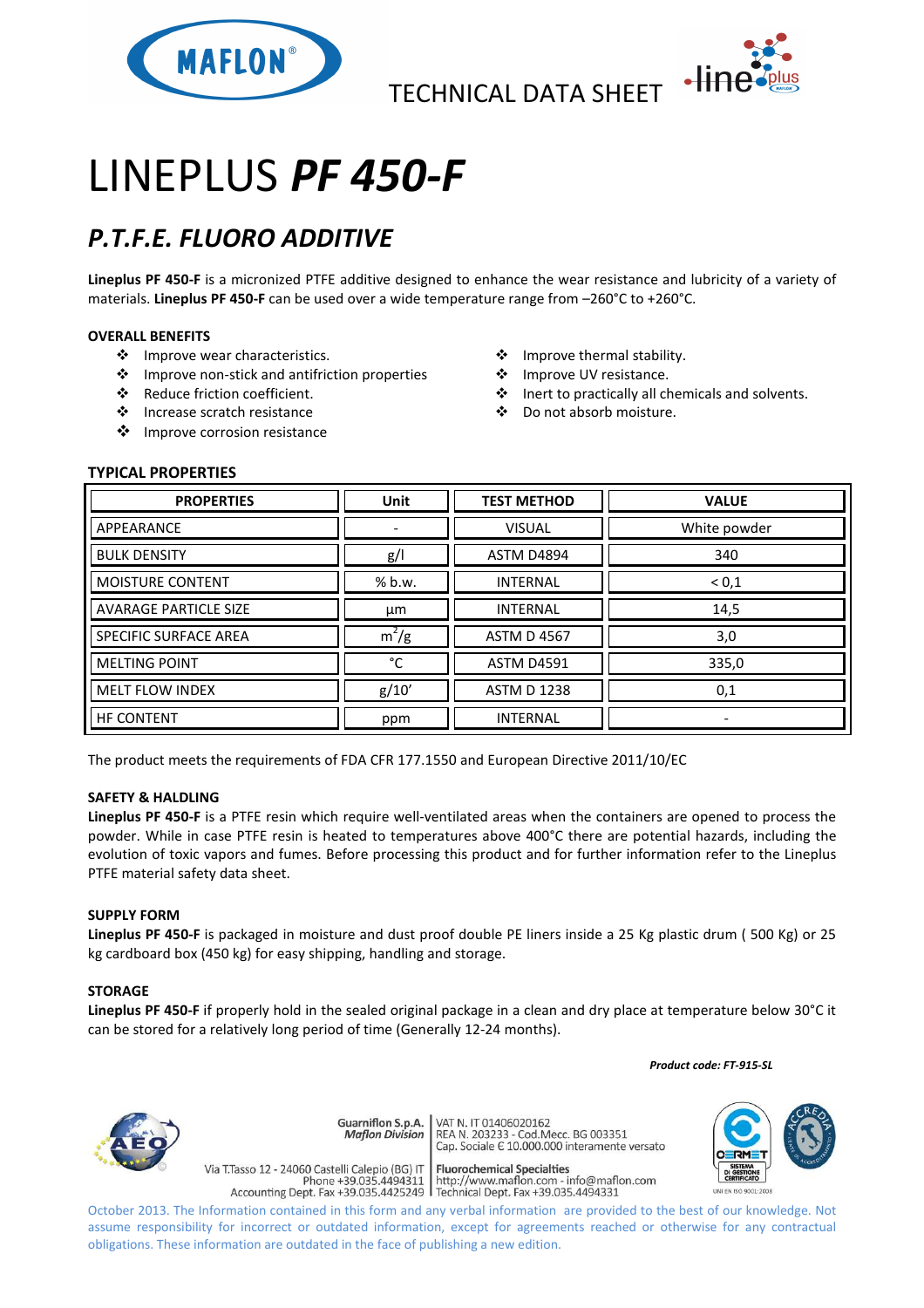

TECHNICAL DATA SHEET



# LINEPLUS *PF 450-F*

# *P.T.F.E. FLUORO ADDITIVE*

**Lineplus PF 450-F** is a micronized PTFE additive designed to enhance the wear resistance and lubricity of a variety of materials. **Lineplus PF 450-F** can be used over a wide temperature range from –260°C to +260°C.

# **OVERALL BENEFITS**

- ❖ Improve wear characteristics.
- Improve non-stick and antifriction properties
- Reduce friction coefficient.
- Increase scratch resistance
- ❖ Improve corrosion resistance
- ❖ Improve thermal stability.
- ❖ Improve UV resistance.
- Inert to practically all chemicals and solvents.
- Do not absorb moisture.

# **TYPICAL PROPERTIES**

| <b>PROPERTIES</b>            | <b>Unit</b> | <b>TEST METHOD</b> | <b>VALUE</b>             |
|------------------------------|-------------|--------------------|--------------------------|
| APPEARANCE                   |             | <b>VISUAL</b>      | White powder             |
| <b>BULK DENSITY</b>          | g/          | <b>ASTM D4894</b>  | 340                      |
| <b>MOISTURE CONTENT</b>      | % b.w.      | <b>INTERNAL</b>    | ${}^{<}0,1$              |
| <b>AVARAGE PARTICLE SIZE</b> | μm          | <b>INTERNAL</b>    | 14,5                     |
| SPECIFIC SURFACE AREA        | $m^2/g$     | <b>ASTM D 4567</b> | 3,0                      |
| <b>MELTING POINT</b>         | °C          | <b>ASTM D4591</b>  | 335,0                    |
| <b>MELT FLOW INDEX</b>       | g/10'       | <b>ASTM D 1238</b> | 0,1                      |
| <b>HF CONTENT</b>            | ppm         | <b>INTERNAL</b>    | $\overline{\phantom{0}}$ |

The product meets the requirements of FDA CFR 177.1550 and European Directive 2011/10/EC

### **SAFETY & HALDLING**

**Lineplus PF 450-F** is a PTFE resin which require well-ventilated areas when the containers are opened to process the powder. While in case PTFE resin is heated to temperatures above 400°C there are potential hazards, including the evolution of toxic vapors and fumes. Before processing this product and for further information refer to the Lineplus PTFE material safety data sheet.

#### **SUPPLY FORM**

**Lineplus PF 450-F** is packaged in moisture and dust proof double PE liners inside a 25 Kg plastic drum ( 500 Kg) or 25 kg cardboard box (450 kg) for easy shipping, handling and storage.

#### **STORAGE**

**Lineplus PF 450-F** if properly hold in the sealed original package in a clean and dry place at temperature below 30°C it can be stored for a relatively long period of time (Generally 12-24 months).

 *Product code: FT-915-SL*



Guarniflon S.p.A. **Maflon Division** 

Via T.Tasso 12 - 24060 Castelli Calepio (BG) IT

VAT N. IT 01406020162 REA N. 11 01400020102<br>REA N. 203233 - Cod.Mecc. BG 003351<br>Cap. Sociale E 10.000.000 interamente versato

**Fluorochemical Specialties** rideso 12 - 24060 Castelli Calepio (BG) if<br>Phone +39.035.4494311 http://www.maflon.com - info@maflon.com<br>Accounting Dept. Fax +39.035.4425249 Technical Dept. Fax +39.035.4494331



October 2013. The Information contained in this form and any verbal information are provided to the best of our knowledge. Not assume responsibility for incorrect or outdated information, except for agreements reached or otherwise for any contractual obligations. These information are outdated in the face of publishing a new edition.